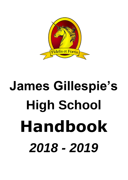

# **James Gillespie's High School Handbook** *2018 - 2019*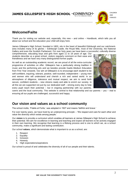JAMES GILLESPIE'S HIGH SCHOOL **· EDINBVRGH** 



## **Welcome/Failte**

Thank you for visiting our website and, especially, this new – and online – Handbook, which tells you all about our school and the education your child will enjoy here.

James Gillespie's High School, founded in 1803, sits in the heart of beautiful Edinburgh and our catchmentarea includes many of its glories – Edinburgh Castle, the Royal Mile, most of the University, the National Gallery and even the Scottish Parliament. For over forty years we have been a successful, culturally diverse

comprehensive, educating boys and girls from aged 11 to 18 years of age. Our students describe us a great school, visitors regularly comment on their ease and friendliness and we have very many distinguished former pupils.

As well as an outstanding academic record, we are proud of all the extra-curricular programme of activities on offer. Gillespie's has a particularly strong tradition in music and the performing arts and we besides provide Gaelic-Medium Education from First Year onwards. Our aim at Gillespie's is to encourage each student to be self-confident, inquiring, tolerant, positive, well-rounded, independent – young men and women who will understand and cherish a rich and varied world. In an atmosphere of diligence, tolerance and mutual respect, we aim to send forth secure, confident students – new citizens ready and able to enrich our society. In all this we are supported not just by our dedicated staff – striving every day to help every pupil reach their potential – but in ongoing partnership with our parents,



carers and the local community. This website is central to that relationship and our parents – you – vital to ensuring all our pupils are challenged, successful and happy.

## **Our vision and values as a school community**

The school motto, 'Fidelis et Fortis,' was adopted in 1927 and means 'faithful and brave.'

For over twenty years, we have lived by an underpinning principle – 'We respect and care for each other and value the diversity which exists among people.'

Our **vision** is to provide a curriculum which enables all learners at James Gillespie's High School to achieve their potential. We aim for excellence in learning and teaching and expect all learners to be actively engaged in their own learning. We recognise that learning is a lifelong process and is one to which we, as a school community, make a significant and lasting contribution.

Our school **values**, which demonstrate what is important to us as a school, are:

- 1. Respect
- 2. Equality
- 3. Inclusion
- 4. Honesty
- 5. High expectations/aspirations

Our school is proud of and celebrates the diversity of all of our people and their talents.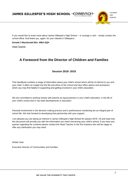JAMES GILLESPIE'S HIGH SCHOOL **· EDINBVRGH**·



If you would like to know more about James Gillespie's High School – or arrange a visit – simply contact the school office. And thank you, again, for your interest in Gillespie's.

**Donald J Macdonald BSc. MBA SQH**

Head Teacher

## **A Foreword from the Director of Children and Families**

#### **Session 2018- 2019**

This Handbook contains a range of information about your child's school which will be of interest to you and your child. It offers an insight into the life and ethos of the school and also offers advice and assistance which you may find helpful in supporting and getting involved in your child's education.

We are committed to working closely with parents as equal partners in your child's education, in the life of your child's school and in city-wide developments in education.

Parental involvement in the decision making process and in performance monitoring are an integral part of school life. We look forward to developing that partnership with your support.

I am pleased you are taking an interest in James Gillespie's High School for session 2018 -19 and hope that this document will provide you with the information you need concerning your child's school. If you have any queries regarding the contents please contact the Head Teacher in the first instance who will be happy to offer any clarification you may need.

Alistair Gaw

Executive Director of Communities and Families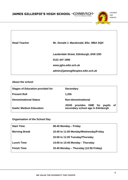

| <b>Head Teacher</b> | Mr. Donald J. Macdonald, BSc. MBA SQH |
|---------------------|---------------------------------------|
|                     | Lauderdale Street, Edinburgh, EH9 1DD |
|                     | 0131 447 1900                         |
|                     | www.jghs.edin.sch.uk                  |
|                     | admin@jamesgillespies.edin.sch.uk     |

#### **About the school**

| <b>Stages of Education provided for</b> | <b>Secondary</b>                                                                  |
|-----------------------------------------|-----------------------------------------------------------------------------------|
| <b>Present Roll</b>                     | 1,255                                                                             |
| <b>Denominational Status</b>            | Non-denominational                                                                |
| <b>Gaelic Medium Education</b>          | provides GME for<br>pupils of<br><b>JGHS</b><br>secondary school age in Edinburgh |

#### **Organisation of the School Day**

| <b>Start Time</b>    | 08:40 Monday - Friday                  |
|----------------------|----------------------------------------|
| <b>Morning Break</b> | 10:40 to 11:05 Monday/Wednesday/Friday |
|                      | 10:50 to 11:05 Tuesday/Thursday        |
| <b>Lunch Time</b>    | 13:05 to 13:45 Monday - Thursday       |
| <b>Finish Time</b>   | 15:40 Monday - Thursday (12:55 Friday) |
|                      |                                        |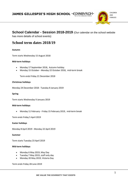JAMES GILLESPIE'S HIGH SCHOOL **· EDINBVRGH**·



## **School Calendar - Session 2018-2019** (Our calendar on the school website

has more details of school events)

## **School term dates 2018/19**

#### **Autumn**

Term starts Wednesday 15 August 2018

#### **Mid-term holidays**

- Monday 17 September 2018, Autumn holiday
- Monday 15 October Monday 22 October 2018, mid-term break

Term ends Friday 21 December 2018

#### **Christmas holidays**

Monday 24 December 2018 - Tuesday 8 January 2019

#### **Spring**

Term starts Wednesday 9 January 2019

#### **Mid-term holidays**

• Monday 11 February - Friday 15 February 2019, mid-term break

Term ends Friday 5 April 2019

#### **Easter holidays**

Monday 8 April 2019 - Monday 22 April 2019

#### **Summer**

Term starts Tuesday 23 April 2019

#### **Mid-term holidays**

- Monday 6 May 2019, May Day
- Tuesday 7 May 2019, staff only day
- Monday 20 May 2019, Victoria Day

Term ends Friday 28 June 2019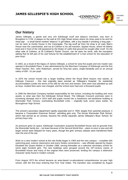CHILDREN AND FAMILIES

EDINBVRGH

#### **Our history**

James Gillespie, a genial and very rich Edinburgh snuff and tobacco merchant, was born in Broughton in 1726. A plaque on the wall at 231 High Street shows where his shop used to be and his shop-sign - a small barrel marked 'tobacco' in gilt letters, with a boy beside it smoking a long pipe – can be seen at Huntly House in the Canongate. The big snuff jar from his shop is at Lady Stair's House near the Lawnmarket, and out at Colinton is his old mansion, Spylaw House, where he latterly lived and in front of the mill (powered by the Water of Leith) that ground his sought-after snuff. On the other side of Colinton, at St Cuthbert's Parish Church, can be seen his tomb, with the inscription adding that he left part of his vast fortune for the establishment of 'a free school for the education of poor boys'.

In 1803, as a result of the legacy of James Gillespie, a school for sixty-five pupils and one master was opened in Bruntsfield Place. It was administered by the Merchant Company of Edinburgh and the first Head Teacher, Rev. John Robertson, served for forty-two years, single-handedly and on an annual salary of £65 - £1 per pupil.

In 1870 the school moved into a larger building where the Royal Blind Asylum now stands, at Gillespie Crescent – this had originally been erected as 'Gillespie's Hospital,' for residential accommodation (under the terms of his will) for old men and women. Girls were now admitted as well as boys, modest fees were now charged, and the school soon had over a thousand pupils.

In 1908 the Merchant Company handed responsibility for the school, including the building and most assets, to what was then the Edinburgh School Board. The Gillespie Crescent premises were in increasing disrepair and in 1914 staff and pupils moved into a handsome red-sandstone building at Warrender Park Terrace, overlooking Bruntsfield Links – originally built, some years earlier, for Boroughmuir High School.

The school's secondary department rapidly expanded and in 1929, largely from parental pressure, it became a 'Corporation Grammar School', admitting girls only. The former Warrender Park School, which had served as an annexe, became the wholly separate James Gillespie's Boys' School, for primary boys only.

As pressure grew on space, Edinburgh Corporation acquired Bruntsfield House and its grounds from the Warrender family but – not least because of the Second World War – plans to erect a new and still larger school were delayed for many years, though the girls' primary classes were transferred there near the end of the war.

Work on a new modern school at this site finally began in 1964 and the new campus – complete with swimming-pool, science classrooms and every Sixties convenience – was officially opened by Queen Elizabeth the Queen Mother in October 1966, serving thereafter as a selective secondary school for some eight hundred girls. The new buildings were grouped around the 16<sup>th</sup>-century manor of Bruntsfield House and many of the original trees were preserved, lending the campus a distinctive character rarely found in modern schools.

From August 1973 the school became an area-based co-educational comprehensive six-year high school, with the first boys entering that First Year intake. The transition was completed by August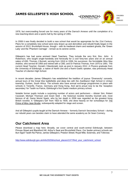CHILDREN AND FAMILIES

EDINBVRGH

1978, but overcrowding forced use for many years of the Darroch Annexe until the completion of a new teaching-block and a sports hall by the spring of 1991.

In 2008 it was finally decided to build a new school that would be appropriate for the 21st Century. Plans for a completely new school were duly drawn up and demolition and rebuild finally began in the autumn of 2013. Bruntsfield House, though – with its medieval charm and resident ghosts, the 'Green Lady' and the 'Phantom Carriage' - remain as its serene centre.

Gillespie's has had some eminent Head Teachers. They include the very first, Rev. John A Robertson, who taught single-handedly and heroically for a cool forty-two years and on an annual salary of £65; Thomas J Burnett, serving from 1916 to 1936; his successor, the formidable Miss May Andrew, who served till 1956 and retired with a CBE; and Dr Patricia Thomas, from 1975 to 1991. The current Head Teacher, Donald J Macdonald, took up post in January 2012. A Physics graduate from the University of Edinburgh, a native of North Uist and a fluent Gaelic speaker, was previously Head Teacher of Liberton High School.

In recent decades James Gillespie's has established the tradition of joyous 'Diversecity' concerts, annual tours of the Great War battlefields and deep ties with the Zwelibanzi High School in Umlazi township, Durban, South Africa. The schools also have annual exchange programmes in place with schools in Tenerife, France, Germany and Hong Kong. And we're proud now to be the 'reception secondary' for Taobh na Pairce, Edinburgh's first Gaelic-medium primary school.

Notable former pupils include a surprising number of actors and performers – Alistair Sim; Robert Cavanah; Michael Thomson and Grant Stott – the historical novelist Dorothy Dunnett and, most famous of all, Dame Muriel Spark, who by her death in 2006 was regarded as the greatest living British novelist. A 'Gillespie's Girl' from 1923 to 1935, she drew heavily on her schooldays for The Prime of Miss Jean Brodie, subsequently adapted for stage and screen.

And all Gillespie's pupils taught at the Darroch Annexe – formerly Darroch Secondary School – during our rebuild years can besides claim to have attended the same academy as Sir Sean Connery.

## **Our Catchment Area**

Please download a map here. Broadly, we cover central and south-central Edinburgh, between Princes Street and Blackford Hill, Arthur's Seat and Bruntsfield Place. Our feeder-primary schools are Bun-Sgoil Taobh Na Pairce; James Gillespie's; Preston Street; Royal Mile; Sciennes, and Tollcross

[http://www.edinburgh.gov.uk/info/20256/school\\_places/1377/find\\_your\\_catchment\\_school](http://www.edinburgh.gov.uk/info/20256/school_places/1377/find_your_catchment_school)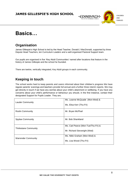

# **Basics…**

# **Organisation**

James Gillespie's High School is led by the Head Teacher, Donald J MacDonald, supported by three Depute Head Teachers, ten Curriculum Leaders and a well-organised Pastoral Support team.

Our pupils are organised in five 'Key Adult Communities' named after locations that feature in the history of James Gillespie and the school he founded.

There are twelve, vertically integrated, Key Adult groups in each community.

## **Keeping in touch**.

The school works hard to keep parents and carers informed about their children's progress We have regular parents' evenings and teachers provide full annual and a further three interim reports. We may get directly in touch if we have any worries about your child's attainment or wellbeing. If you have any concerns about your child's performance or behaviour you should, in the first instance, contact their designated Support for Pupils Leader. They are;

| <b>Lauder Community</b>      | Ms. Leanne McQuade (Mon-Wed) &      |  |
|------------------------------|-------------------------------------|--|
|                              | Ms. Elisa Kerr (Thu-Fri)            |  |
| <b>Roslin Community</b>      | Mr. Bryan McPhail                   |  |
| <b>Spylaw Community</b>      | Mr. Bob Shankland                   |  |
| <b>Thirlestane Community</b> | Ms. Cait Pearce (Mon-Tue/Thu-Fri) & |  |
|                              | Mr. Richard Sievwright (Wed)        |  |
| <b>Warrender Community</b>   | Ms. Nikki Graham (Mon-Wed) &        |  |
|                              | Ms. Lisa Wood (Thu-Fri)             |  |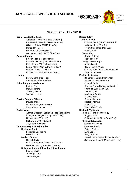**EDINBVRGH** 



**Staff List 2017 - 2018**

#### **Senior Leadership Team Design & ICT** Anderson, David (Business Manager) **Art & Design** Macdonald, Donald J. (Head Teacher) Christie, Stella (Mon-Tue/Thu-Fri) O'Brien, Deirdre (DHT) (Mon/Fri) Molleson, Iona (Tue-Fri) Porter, Ian (DHT) Troon, Stephanie (Mon-Wed) Warden, Jeff (Acting DHT) Wood, Jane Westerman, Sally (DHT) (Tue-Thu) **Computing Administration Brown, Kathryn** Brucka Natalia (Receptionist) **Roderick, Carl** Roderick, Carl Chisholm, Gillian (Clerical Assistant) **Design Technology** Kerr, Sharon (Clerical Assistant) Adam, David Leslie, Moira (Administration Officer) and Bayne, David (Wed) McVay, Pamela (Welfare) Corson, Steve (Curriculum Leader) Robinson, Clair (Clerical Assistant) Digance, Andrew **Library English & Literacy** Brown, Sara (Mon-Tue) Bainbridge, Sarah (Mon-Wed) Adenekan, Tomi (Wed-Fri) and a series of the Barrett, Jeanne (Wed-Fri) **School Support Assistants** Connell, Emily Fraser, Ann Crosbie, Allan (Curriculum Leader) Marvin, Janine Fairhurst, Julie (Mon-Tue) Sinclair, Joanne Kirkwood, Fia Summers, Laura McGough, Sarah **Service Support Officers** Double, Mark **Roskilly, Marcus Roskilly, Marcus** Glancy, Alan (Senior SSO) Watt, Craig Zapata Vera, Jesus Wood, Lisa (Wed) **Technicians Health & Wellbeing** Adams, Deborah (Senior Science Technician) **Food & Health Technology** Chan, Stephen (Workshop Technician) Briggs, Allison Norton, Vera (Science) Osborne-Smith, Fiona (Mon-Thu) Sullivan, Gary (IT Support) **Physical Education** Zia, Kosar (Science) Carruthers, Angus **Contemporary & Moral Studies** Carstairs, Frank **Business Studies Ewing, Chelsea Ewing, Chelsea** Forrester, Jacqueline **Example 2018** Eyre, Jane Wilson, Carol Morgan, Nicki **Modern Studies** Newall, Graeme (Curriculum Leader) Garrett, Caitlin Sievwright, Richard (Mon-Tue/Thu-Fri) Inglis (Laura-Jane) (Mon-Tue/Thu-Fri) Halliday, Laura (Curriculum Leader) **Religious & Moral Education & Psychology** Fraser, Claire Jennings, John Smith, Megan

Sawers, Susie Cortes, Marianne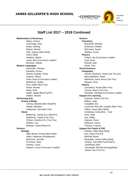**EDINBVRGH** 



#### **Staff List 2017 – 2018 Continued**

#### **Mathematics & Numeracy CONSERVING SCIENCE** Aitken, Donna **Chemistry** Cummings, Paul **Bracewell, Michael** Bracewell, Michael Dolan, Ashling **Dickinson**, Debbie Ebead, Ahmed McCartan, Sarah Fyfe, Joanne (Mon-Wed) Wallace, Kirsty Grant, Eilidh **Physics** Haldane, Elaine Coltart, Iain (Curriculum Leader) Lewis, Ben (Curriculum Leader) Lewis, Ben (Curriculum Leader) Morrison, Alistair **Morrison, Alistair** Russell, Alan **Modern Languages** Smith, Paul Alexander, Michael **Social Sciences** Edwards, Emma **Geography** Hudson, Allison MacLaughland, Adam Irvine, Ryan (Curriculum Leader) Matheson, Kerry-Anne (Tue-Thu) Neithercut, Roddy Stewart, Chris Pica, Hollie (Mon-Thu) **History** Ponte, Nicolas Carruthers, Nicola (Mon-Thu) Reilly, Ruth Carson, Brian (Tue-Thu) Walker, Brooke **Support for Learning Performing Arts Performing Arts Andrews, Robin (Thu-Fri) Drama & Media** Balfour, Jude Balfour, Jude Balfour, Jude Balfour, Jude Balfour, Jude Balfour, Jude Balfour, Jude Balfour, Jude Balfour, Jude Balfour, Jude Balfour, Jude Balfour, Jude Balfour, Jude Balfour, Jude Balfour, J Conroy, Michele (Mon-Wed/Fri) Campbell, Ann Sulleyman, Zee (Mon-Thu) Fallon, Leesa (Mon-Wed) **Music** Gendreau, Emily (EAL - Tue) McMorran, Tassie (CL) (Mon/Fri) Gray, Sybil McMorran, Tassie (Tue-Thu) and the control of the Lee, Gillian O'Brien, Deirdre (CL) (Tue-Thu) CHE COME COMMAN COMMAN COMMAN CONTROLLER Shields, Lisa **Robinson, Karen** Robinson, Karen Robinson, Karen Robinson, Karen Robinson, Karen Robinson, Karen Webster, David (Wed-Fri) Thomas, Frances **Science Support for Pupils & PSE Biology Graham, Nikki (Mon-Wed) Graham, Nikki (Mon-Wed)** Allan-Brown, Emma (Mon-Wed) Kerr, Elisa (Thu-Fri) Hillier, Katherine (Probationer) McPhail, Bryan McKenna, Jennifer **McCuade, Leanne (Mon-Wed)** McCuade, Leanne (Mon-Wed) O'Connor, Mary Pearce, Cait (Mon/Tue/Thu/Fri) Oudney, Laura Shankland, Bob

Galvez-Castells, Tania **Harvey-Jamieson, Rosie (not Thu pm)** Saqib, Sajida (Mon/Tue/Fri) Kennedy, Ashleigh (Curriculum Leader) Hardie, Malcolm Cockcroft, Rob (SfL Leader) (Mon-Thu) Stewart, Laura (Curriculum Leader) Sievwright, Richard (Acting)(Wed) Wood, Lisa (Thu-Fri)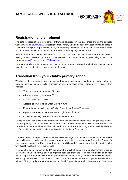

## **Registration and enrolment**

The date for registration of new school entrants is advertised in the local press and on the council's website [www.edinburgh.gov.uk.](http://www.edinburgh.gov.uk/) Registration for Primary One and First Year Secondary takes place in November each year. Pupils should be registered in only one school for their catchment area. Parents will be provided with information about the school, when they register their child.

Parents who want to send their child to a school other than the catchment school must make a placing request. Parents now make placing requests for non-catchment schools using a new online form (see [www.Edinburgh.gov.uk/Schoolplaces\)](http://www.edinburgh.gov.uk/Schoolplaces).

Parents of pupils who have moved into the catchment area or, who wish their child to transfer to the school, should contact the school office for information.

## **Transition from your child's primary school**

We do everything we can to make the change from your local primary to a large secondary school as easy as possible for your child. Transition events take place mainly through P7. Typically, they include:

- Visits by a targeted groups of P7 pupils
- A Parents' Meeting in June of P7
- A 3 day visit in June of P7
- A Health and Wellbeing day for all P7s in June
- Modern Languages classes in Gaelic, Spanish and French Transition
- A performing Arts concert event at the High School for P1-7
- Involvement of High School students as mentors for P7s

Gillespie's staff liaise closely with primary teachers, and subject teachers as well as guidance staff will visit the primary schools to meet pupils and staff. Special attention is paid to learners who are considered vulnerable. They may be included in a summer transition programme, which is designed to offer additional support to pupils in anticipation of starting at Secondary.

The extended Pupil Support Team at James Gillespie's High School starts work almost a year before your child starts at high school to ensure a smooth transition. It includes staff from the Support for Learning and Support for Pupils departments, a Pupil Support Assistant and a Depute Head Teacher with overall responsibility for the process.

In September each year we hold a P7 Open Event to which all parents and pupils intending to join us are invited. In December we begin to organise transition meetings for pupils with additional support needs. Pupils are then identified by our primary colleagues who may benefit from additional support offered by the Transition Support Group, which runs for a small number of pupils in the last term of primary. This group is run by members of our Pupil Support Team and colleagues from Canongate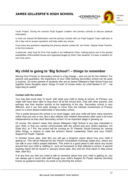CHILDREN AND FAMILIES

EDINBVRGH

Youth Project. During the session Pupil Support Leaders visit primary schools to discuss pastoral information.

In June our trained S6 Befrienders visit the primary schools with our Pupil Support Team staff prior to the 3 day visit to answer questions and help settle any nerves.

If you have any questions regarding the process please contact Mr. Ian Porter, Depute Head Teacher, in the first instance.

A particular, early treat for First Year pupils is our Hallowe'en Party, making joyous use of the spooky possibilities of Bruntsfield House and organised largely by Sixth Year students. It's been a tradition for over forty years.

## **My child is going to 'Big School'! – things to remember**

Moving from Primary to Secondary school is a big change – and not just for the children. For parents and guardians, the experience of your child starting Secondary school can be quite a surprise. So some parents of students who are at James Gillespie's High School have put together these thoughts about *'things I'd wish I'd known when my child started in S1'* – we hope they're useful!

#### **Contact with the school**

You may feel much less 'in touch' with what your child is doing at school. At Primary, you might well have been able to drop them off at the school door, chat with other parents, and perhaps see their teacher quickly at the beginning of the day. Secondary school is very different, and it can feel quite strange to move from the intimate involvement of Primary years to a more distant relationship in Secondary school.

This is partly because the school is so much bigger, and your child will have many teachers rather than just one or two. But it also reflects how children themselves often want a bit more independence as they start Secondary school: it's an important stage in growing up.

Of course, this doesn't mean that James Gillespie's High School is any less interested in your child, or that you cannot communicate with the school and your child's teachers. On (Date tbc), at 7 Pm, the school will be running an S1 Parents' Social Evening for; among other things, a chance to meet the school's Senior Leadership Team and your Child's Support for Pupils' Teacher.

In October (issue date, date tbc) you will get a progress report about how your child is getting on. This will be followed by two Parent Consultation Evenings (dates tbc), where you can talk to your child's subject teachers. This event is a good place to talk about any issues around how your child is 'settling in', such as homework or their attitude to school. A second tracking report will be issued in January (issue date, tbc) and full, final report in May (issue date, date tbc).

If at any time you feel you need to talk to someone about how your child is getting on, you can always get in touch with staff through your child's Support for Pupils' teacher (formerly known as guidance teacher), by email or by phoning the school.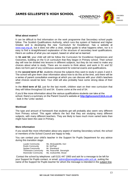

#### **What about exams?**

It can be difficult to find information on the work programme that Secondary school pupils follow. The Scottish Qualifications Authority, which runs the system of National and Higher Grades and is developing the new 'Curriculum for Excellence', has a website at [www.sqa.org.uk,](http://www.sqa.org.uk/) but it does not offer a clear, simple guide to what happens when, nor is it easy to find a straightforward explanation of the structure of secondary level qualifications. Here's an outline of what you can expect, based on what we've learned:

In **S1 and S2**, your child will still be follow the Curriculum for Excellence Experiences and Outcomes, building on the 5-14 curriculum that they began in Primary school. Their school day will now be divided into lessons in different subjects, but they do not need to make any choices about what to study. There are no exams to think about, and work in S1 and S2 does not form part of any continuous assessment for external exams and qualifications.

In the **second term of S2**, students choose the subjects they want to study in years 3 and 4. The school will give them clear information about how to do this at the time, and there will be a series of parent consultation evenings at which you can discuss with your child's teachers what choices would be best. Your child will also probably have some strong ideas of their own!

In the **third term of S2**, just for the last month, children start on their new curriculum that they will follow throughout S3 and S4. Exams come at the end of S4.

If you'd like more information about the various qualifications students can take at the school, there's a summary on the Parent Council's website at **[http://jghscouncil.btck.co.uk](http://jghscouncil.btck.co.uk/)** - look in the 'Links' section.

#### **Workload**

The type and amount of homework that students get will probably also seem very different from Primary school. This again reflects the fact that they are studying many different subjects, with many different teachers. They are likely to have much more varied tasks than might have been the case in Primary.

#### **More information**

If you would like more information about any aspect of starting Secondary school, the school or members of the School Council are happy to help.

You can contact your child's teacher in the Support for Pupils Department for any advice during this transition stage:

| Lauder Community             | Ms. McQuade/Ms. Kerr      |
|------------------------------|---------------------------|
| <b>Roslin Community</b>      | Mr. McPhail               |
| Spylaw Community             | Mr. Shankland             |
| <b>Thirlestane Community</b> | Ms. Pearce/Mr. Sievwright |
| <b>Warrender Community</b>   | Ms. Graham/Ms. Wood       |

Contact the school by telephone: call 0131 447 1900 and ask for a message to be left for your Support for Pupils contact, or email: [admin@jamesgillespies.edin.sch.uk,](mailto:admin@jamesgillespies.edin.sch.uk) putting the name of the Support for Pupils teacher for whom the message is intended in the subject line.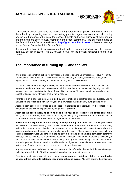EDINBVRGH



The School Council represents the parents and guardians of all pupils, and aims to improve the school by supporting teachers, supporting parents, organising events, and discussing any issues that concern the life of the school. It meets on the first Tuesday of every month, and meetings are open to every member of the school community. Find out more details on the School Parent Council's website at **[http://jghscouncil.btck.co.uk](http://jghscouncil.btck.co.uk/)** or leave a message for the School Council with the School Office.

If you want to have just an informal chat with other parents, including over the summer holidays, do get in touch. An S1 network group can be brought together if there is an interest.

## **The importance of turning up! – and the law**

If your child is absent from school for any reason, please telephone us immediately – 0131 447 1900 – and leave a voice-message. This should of course include your name, your child's name, their registration-class, what is wrong and when you hope your child will be back.

In common with other Edinburgh schools, we use a system called Absence Call. If a pupil has not registered, and the school has not received a call first thing in the morning explaining why, you will receive a text message informing them of your child's absence. Please respond immediately to the school, letting us know why your child is not at school.

Parents of a child of school age are **obliged by law** to make sure that their child is educated, and we as a school are **responsible in law** for your child's whereabouts and safety during school hours.

Absence from school is recorded as authorised – understood and approved by the school - or as unauthorised and with no explanation by the parent… **truancy**.

Again, **let the school know as soon as possible if your child is likely to be off for some time**, and given a note to bring when they come back, explaining they were off. If there is no explanation from a child's parents, the absence will be regarded as unauthorised.

**Please make every effort to avoid family holidays during term time**: this disrupts your child's education and reduces learning time. Mr Macdonald can approve absence from school for a family holiday in certain extreme situations, for example, in traumatic domestic circumstances where the holiday would improve the cohesion and wellbeing of the family. Please discuss your plans with your child's Support for Pupils Leader before the holiday. If the school does not give permission before the holiday, it will be recorded as unauthorised absence. The Head Teacher can authorise a holiday if you can prove that work commitments make a family holiday impossible during school holiday times. Normally, your employer will need to provide evidence of your work commitments. Absence approved by the Head Teacher on this basis is regarded as authorised absence.

Any requests for extended absence over two weeks will be referred to the Senior Education Manager: Inclusion who will decide if it will be recorded as authorised or unauthorised leave.

Parents from minority ethnic religious communities **may request that their children be permitted to be absent from school to celebrate recognised religious events**. Absence approved on this basis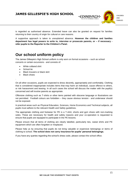EDINBVRGH



is regarded as authorised absence. Extended leave can also be granted on request for families returning to their country of origin for cultural or care reasons.

A supportive approach is taken to unexplained absence. **However the children and families department has legal powers to write to, interview or prosecute parents, or – if necessary refer pupils to the Reporter to the Children's Panel.**

## **Our school uniform policy**

The James Gillespie's High School uniform is only worn on formal occasions – such as school concerts or certain excursions - and consists of:

- White collared shirt
- School tie
- Black trousers or black skirt
- Black shoes

.

On all other occasions, pupils are expected to dress decently, appropriately and comfortably. Clothing that is considered inappropriate includes items that may harm an individual, cause offence to others, or risk harassment and teasing. In all such cases the school will discuss the matter with the pupil(s) concerned and will involve parents as appropriate.

Offensive clothing such as T-shirts or other items painted with obscene language or illustrations are not permitted. Football colours are forbidden – they cause obvious tension - and underwear should not be exposed.

In practical areas such as Physical Education, Sciences, Home Economics and Technical subjects, all pupils must adhere to the relevant Health and Safety guidelines.

The appropriate clothing and footwear for PE is a T-shirt, shorts and gym shoes with non-marking soles. These are necessary for health and safety reasons and your co-operation is requested to ensure that pupils are equipped to participate in the PE lessons.

Please ensure that all items of clothing are clearly labelled, particularly ties, sweat shirts and PE equipment which are often forgotten or misplaced.

Please help us by ensuring that pupils do not bring valuable or expensive belongings or items of clothing to school. **The school does not carry insurance for pupils' personal belongings.**

If you have any queries regarding the school's dress code, please contact the school office.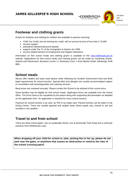



## **Footwear and clothing grants**

Grants for footwear and clothing for children are available to parents receiving:

- Child Tax Credit, but not working tax credit, with an annual income of less than £ 15,860
- income support
- jobseekers allowance[income-based]
- support under Par V1 of the Immigration & Asylum Act 1999
- income related element of Employment and Support Allowance

Information on free school meals and clothing grants is available on the [www.edinburgh.gov.uk](http://www.edinburgh.gov.uk/) website. Applications for free school meals and clothing grants can be made by contacting Grants, Awards and Placements, Business Centre 1:1 Waverley Court, 4 East Market Street, Edinburgh, EH8 8BG.

## **School meals**

Menus offer healthy and tasty meal options while reflecting the Scottish Government food and drink legal requirements for school lunches. Special diets and allergies are usually accommodated subject to consultation with parent/guardian and catering services.

Meal prices are reviewed annually. Please contact the School to be advised of the current price.

Some families may be eligible for free school meals. Application forms are available from the school office. The forms have to be completed by the parent along with supporting documentation as detailed on the application form. An application is required for every school session**.** 

Payment for school lunches is by cash, by PIN or by swipe card. Packed lunches can be eaten in the Dining Centre. There are outside grassed and seated areas where pupils may choose to eat and socialise in dry weather.

## **Travel to and from school**

There are three school gates: one at Lauderdale Street, one at Warrender Park Road and a vehicular entrance from Whitehouse Loan.

**When dropping off your child for school or, later, picking him or her up, please do not park near the gates, or anywhere that causes an obstruction or restricts the view of the school crossing patrol.**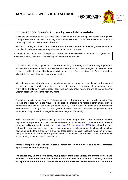EDINBVRGH



## **In the school grounds… and your child's safety**

Pupils are encouraged to arrive in good time for school and to use the spaces accessible to pupils. During breaks and lunchtimes the dining area is supervised by staff. Outwith these times, staff and senior pupils will be present around the school.

Before school begins supervision is limited. Pupils are welcome to use the seating areas around the school or, in inclement weather, may also use the indoor social areas.

During intervals our support-staff supervise children who are feeling ill or vulnerable. Throughout the day there is always access to the building and the children know this.

The safety and security of pupils and staff when attending or working in a school is very important to us. We use a number of security measures including a visitors' book, badges and escorts, while visitors are within the school buildings. All visitors must report first, and at once, to Reception and the office staff can make the necessary arrangements.

All pupils are expected to dress appropriately for an unpredictable Scottish climate. In the event of very wet or very cold weather outwith class times pupils may access the ground floor communal areas in any of the buildings. Access to indoor spaces is currently under review and will be updated as the accommodation evolves in the next few years.

Council has published an Equality Scheme, which can be viewed on the council's website. This outlines the duties which the Council is required to undertake to tackle discrimination, prevent harassment and ensure our work promotes equality. The Council is committed to eliminating discrimination on the grounds of race, gender, disability, sexual orientation, religion/belief, age, marriage or civil partnership, transgender status or pregnancy/maternity.

"Within the general policy laid down by The City of Edinburgh Council, the Children & Families Department has prepared and has continuing development of, safety policy statements for all areas of its responsibility in accordance with the [Health and Safety at Work Act 1974.](http://www.hse.gov.uk/legislation/hswa.pdf) School staff are fully instructed in their responsibilities in this respect, and safety regulations apply to all aspects of school life, both on and off the premises. It is expected that pupils will behave responsibly and comply with all safety requirements. The support of parents/carers in promoting good practice in health and safety matters is of great importance to the school".

**James Gillespie's High School is totally committed to ensuring a culture that promotes equality and welcomes diversity.**

**The school has, among its students, young people from a rich variety of different cultures and countries. Multicultural education permeates all our work and buildings. Respect, tolerance and appreciation of different cultures, faiths and outlooks are central to the life of the school.**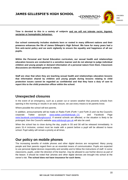EDINBVRGH

**Time is devoted to this in a variety of subjects and we will not tolerate racist, bigoted, sectarian or homophobic behaviour.**

**Our school community includes students born or rooted in many different nations and their presence enhances the life of James Gillespie's High School. We have for many years had a firm anti-racist policy and we work vigilantly to ensure the equality and happiness of all our pupils.**

**Within the Personal and Social Education curriculum, our sexual health and relationships education lessons are conducted in a sensitive manner and do not attempt to judge individual children and young people or demand information of a personal nature from them. Classroom discussions are therefore general in nature.** 

**Staff are clear that when they are teaching sexual health and relationships education lessons that information shared by children and young people during lessons relating to child protection issues cannot be regarded as confidential and that they have a duty of care to report this to the child protection officer within the school.** 

## **Unexpected closures**

In the event of an emergency, such as a power cut or severe weather that prevents schools from opening in the morning or results in an early closure, we use every means to let parents know.

Where possible the school will text parents.

In addition, announcements will be made on Radio Forth (Forth 1 and Forth 2) and via the Council's corporate Twitter account [www.twitter.com/Edinburgh\\_CC](http://www.twitter.com/Edinburgh_CC) and Facebook Page [www.facebook.com/edinburghcouncil.](http://www.facebook.com/edinburghcouncil) If several schools are affected, or the situation is likely to be prolonged, then the Council's website [www.edinburgh.gov.uk](http://www.edinburgh.gov.uk/) will also be used.

When the school has to close during the day, pupils in S5 and S6 will be released immediately. In years S1-4 inclusive, contact must be made with a parent before a pupil will be allowed to leave school. Pupil safety will remain a priority at all times.

## **Our policy on mobile phones**

The increasing benefits of mobile phones and other digital devices are recognised. Many young people and their parents regard them as an essential means of communication. Pupils are expected to use personal digital devices responsibly and sensibly and to follow the instructions of staff. In some classrooms, pupils, under the direction of the teacher, may be allowed to use his/her device as part of the lesson. It should be noted that 'phones and other digital devices are brought into school at the owner's risk. **The school does not have insurance for such items.**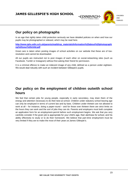

# **Our policy on photographs**

In an age that rightly takes child protection seriously we have detailed policies on when and how our pupils may be photographed or videoed, which may be read here.

**[http://www.jghs.edin.sch.uk/parents/maildrop\\_materials/Information%20about%20photographi](http://www.jghs.edin.sch.uk/parents/maildrop_materials/Information%20about%20photographing%20your%20child.pdf) [ng%20your%20child.pdf](http://www.jghs.edin.sch.uk/parents/maildrop_materials/Information%20about%20photographing%20your%20child.pdf)**

Great care is taken when posting images of school activities on our website that these are of lowresolution and cannot be downloaded.

All our pupils are instructed not to post images of each other on social-networking sites (such as Facebook, Tumblr or Instagram) without first asking their friend for permission.

It is a criminal offence to make an indecent image of any child, defined as a person under eighteen. We would deal robustly with such an incident between Gillespie's pupils.

# **Our policy on the employment of children outwith school hours**

We feel that certain jobs for young people, especially in early secondary, may drain them of the energy and attention necessary to do their best at school. Children under statutory school leaving age can only be employed in terms of current law and by-laws. Children under thirteen are not allowed to work at all – for instance, doing a paper-round – and for those over thirteen there are strict limits on the hours they can work and the sort of jobs they can do. Parents and employers must both complete an application form for an employment-permit before such employment begins. We ask that you very carefully consider if the given job is appropriate for your child's age, their alertness for school, and his ability effectively to study or to do their homework. We believe that part-time employment must be very limited if they are to make the most of their years at James Gillespie's.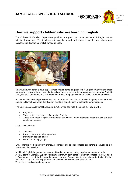

## **How we support children who are learning English**

The Children & Families Department provides a support service of teachers of English as an additional language. The teachers visit schools to work with those bilingual pupils who require assistance in developing English language skills.



Many Edinburgh schools have pupils whose first or home language is not English. Over 90 languages are currently spoken in our schools, including those from established communities such as Punjabi, Urdu, Bengali, Cantonese and more recently-arrived languages such as Arabic, Mandarin and Polish.

At James Gillespie's High School we are proud of the fact that 43 official languages are currently spoken in School. We value this diversity and take opportunities to celebrate our differences.

The English as an Additional Language (EAL) service can help these pupils. They may be:

- **Beginners**
- Those at the early stages of acquiring English
- Those who speak English more fluently but who still need additional support to achieve their academic potential

They also work with:

- **Teachers**
- Professionals from other agencies
- Parents of bilingual pupils
- Local community groups

EAL Teachers work in nursery, primary, secondary and special schools, supporting bilingual pupils in liaison with their teachers

Additional English language classes are offered to some secondary pupils on a part time basis. A small team of Bilingual Support Assistants work with early stage learners in schools. They are fluent in English and one of the following languages: Arabic, Bengali, Cantonese, Mandarin, Polish, Punjabi and Urdu. They can also help parents and schools to build effective partnerships. They can give advice and support on: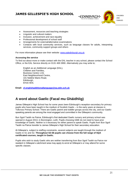



- Assessment, resources and teaching strategies
- Linguistic and cultural matters
- Inclusion, achievement and race equality
- Professional development of school staff
- Arrangements for external/alternative examinations
- Contacts with local community services, such as language classes for adults, interpreting services, community support groups and others

For more information please see their website: [www.ealedinburgh.org.uk](http://schools-online.org/cgi-bin/WebObjects/SchoolWebs.woa/wa/school?ID=10675)

#### **Accessing the service**

To find out about more or make contact with the EAL teacher in any school, please contact the School Office, or the EAL Service directly on 0131 469 2890. Alternatively you may write to;

English as an Additional Language (EAL), Children and Families, Business Centre 1.03, East Neighbourhood Centre, 101 Niddrie Mains Road, Edinburgh, EH16 4DS.

**Email: [cf.englishadditionallanguage@ea.edin.sch.uk](mailto:cf.englishadditionallanguage@ea.edin.sch.uk)**

## **A word about Gaelic (Facal mu Ghàidhlig)**

James Gillespie's High School has for some years been Edinburgh's reception-secondary for primary pupils who have been taught in the medium of Scottish Gaelic – in the early years at classes in Tollcross Primary School. There are Gaelic parent and toddler groups across the city, and our Gaelicspeaking parents are among the most engaged and committed in the Gillespie's community.

Bun Sgoil Taobh na Pairce, Edinburgh's first dedicated Gaelic nursery and primary school was opened in August 2013, in Bonnington, Leith. Pupils choosing GME do not need to have prior knowledge of Gaelic. Neither is it necessary for either parent to speak Gaelic. Pupils from Bun Sgoil Taobh na Pairce transfer to James Gillespie's High School for their secondary education.

At Gillespie's, subject to staffing constraints, several subjects are taught through the medium of Gaelic in S1 and S2. **Throughout S3-S6 pupils can choose from the full range of SQA certificated courses, taught in Gaelic.** 

Pupils who wish to study Gaelic who are neither transferring from Bun Sgoil Taobh na Pairce nor resident in Gillespie's catchment area may apply to enrol at Gillespie's or may attend for some specific classes.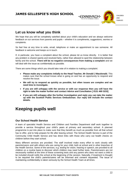EDINBVRGH



## **Let us know what you think**

We hope that you will be completely satisfied about your child's education and we always welcome feedback on our services from parents and pupils – whether it is compliments, suggestions, worries or complaints.

So feel free at any time to write, email, telephone or make an appointment to see someone. All feedback is welcome and keeps us in touch.

If, in particular, you have a complaint about the school, please let us know directly. It is better that any problem is shared openly and resolved fairly, rather than allowed to spoil the relationship between family and the school. **There will be no negative consequences from making a complaint** and we will deal with the issue as confidentially as possible.

There are some things which you should take note of in relation to making a complaint:

- **Please make any complaints initially to the Head Teacher, Mr Donald J Macdonald.** This makes sure that the school knows what is going on and has an opportunity to respond and resolve the issue.
- **We will try to respond as quickly as possible, but often issues are complex and we need time to investigate.**
- **If you are still unhappy with the service or with our response then you will have the right to take the matter further and contact Advice and Conciliation [ 0131 469 3233]**
- **If you are still unhappy after the further investigation and reply you can take the matter up with the Scottish Public Services Ombudsman. Our reply will include the contact details.**

# **Keeping pupils well**

#### **Our School Health Service**

A team of specialist Health Service and Children and Families Department staff work together to provide a service throughout your child's years at primary and secondary school. A planned programme is put into place to make sure that they benefit as much as possible from all that school has to offer, and to help prepare for life after leaving school. The School Health Service is part of the Community Child Health Service and has direct links with those who carry out health checks on children before they start school.

Many different services are provided. The staff involved make every effort to work closely with parents/carers and with others who are caring for your child, both at school and in other branches of the Health Service. Some of the services, e.g. testing for vision, hearing or speech, are provided to all children on a routine basis to discover which children may need further tests. Parents/carers are not necessarily notified at the time of these screening tests and any parent who does not want a child to be included should notify the school at the beginning of the session. Naturally, if treatment is thought to be required the child's parents/carers will be informed and consent requested. The issue of maintaining confidentiality is taken seriously by the School Health Team at all times.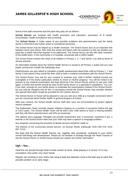EDINBVRGH



Some of the staff concerned and the parts they play are as follows:-

**School Nurses** are involved with health promotion and education, prevention of ill health, immunisation, health surveillance and screening.

The **School Doctor** is made aware of any possible problems and parents/carers and the family doctor is informed if any further action is considered necessary.

The School Nurse may be helped by a Health Assistant. The School Nurse acts as an important link between home and school. She visits the school and liaises with the teachers to find out whether any pupil has a health need that requires to be addressed. The School Nurse can link with other members of the health team, in the community or in hospital, concerned with a child's health.

The School Nurse reviews the notes of all children in Primary 1, 4, 7 and Senior 3 as well as those of all new entrants.

An information booklet about the School Health Service is issued to all Primary 1 pupils and any new pupils coming from outwith the Edinburgh area.

Parents/carers are also asked to complete a health questionnaire about their child at Primary 1, 7 and Senior 3 and asked if they would like their child to have a medical consultation with the School Doctor.

The School Doctor may ask for your consent to examine your child if his/her medical records are incomplete or if the doctor particularly wishes to check on his/her progress. You will be invited to be present at any medical examination and kept informed if the School Doctor wishes to see your child again, or thinks that he/she should be seen by the family doctor or a specialist in paediatrics. You can, if you wish, arrange for your family doctor to undertake the examinations instead of the School Doctor, but you may be charged a fee for this. In secondary schools the School Doctor may consider whether any special information should be provided for the Careers Service.

The School Doctor or Nurse will be pleased to see you and your child at a mutually convenient time if you are concerned about his/her health or general progress at school.

With your consent, the School Health Service Staff also carry out immunisations to protect against various diseases.

The Audiometric Team normally checks children's hearing on a number of occasions before the age of 13/14 years. The School Health Team will be told if your child seems to have a hearing problem and they will inform parents/carers and GPs as necessary.

The Speech and Language Therapist can provide assessment and, if necessary, treatment if you, a teacher or the School Doctor feels that your child may have a speech or language problem.

Any enquiries concerning the provision of dental services should be made to:

The Director of the Community Dental Service, 16 Duncan Street, Edinburgh, EH9 1SR (Tel. 0131 667-7114).

We hope that the School Health Service can, together with yourselves, contribute to your child's overall well-being and development. Please do not hesitate to arrange through the Head Teacher to see the School Doctor or School Nurse should you require any further information".

#### **Ugh – lice…**

Head lice are spread through head to head contact at home, while playing or in school. If it is any consolation, they prefer very clean heads.

Regular wet combing of your child's hair using a head lice detection comb is the best way to catch this possible problem at an early stage.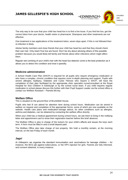CHILDREN AND FAMILIES

EDINBVRGH

The only way to be sure that your child has head lice is to find a live louse. If you find live lice, get the correct lotion from your doctor, health visitor or pharmacist. Shampoos and other treatments are not effective.

One treatment is two applications of the treatment lotion, seven days apart. If this is not followed then re-infection is likely.

Advise family members and close friends that your child has head lice and that they should check their own hair. Only treat if live lice are found. Don't be shy about advising others of this possible problem because you would likely tell family and friends about other infections which might affect them.

Regular wet combing of your child's hair with the head lice detector comb is the best protection as it allows you to detect the condition and treat it speedily.

#### **Medicine administration**

A School Health Care Plan (SHCP) is required for all pupils who require emergency medication or who have a complex, chronic condition that requires more in-depth planning and support. Pupils with severe allergies, Epilepsy, Diabetes and Cystic Fibrosis who require a SHCP, will have the completion of their plan facilitated by the appropriate clinic specialist nurse/consultant at the Royal Hospital for Sick Children in Edinburgh or by the school nurse team. If you child requires regular medication in school please discuss this further with their Pupil Support Leader via the school office or contact our Welfare Assistant – Pamela McVay.

#### **Welfare Office**

This is situated on the ground floor of Bruntsfield House.

Pupils who feel ill can attend for attention here during school hours. Medication can be stored in welfare on request and completion of the appropriate forms, some of which are now available on the website. Health care plans and medication-storage advice, for other conditions such as allergies, asthma and diabetes, can be obtained by contacting the welfare office directly.

When your child has a medical appointment during school hours, we ask them to bring in the notifying letter and appointment card to show their registration teacher before this brief absence.

The Welfare Office is also in charge of the lockers for your child's effects and issues the keys each term. A form must be filled in and a small deposit paid. .

The Welfare Office also take charge of lost property. We hold a monthly reclaim, at the morning interval, on the last Friday of each month.

#### **Jags!**

At Gillespie's we organise the standard immunisation and vaccinations for teenage children – for instance, the BCG jab against tuberculosis, or the HPV injection for girls. Parents are fully informed, and consent obtained, in every instance.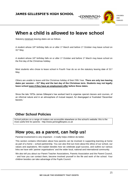

# **When a child is allowed to leave school**

Statutory minimum leaving-dates are as follows.

A student whose 16th birthday falls on or after 1st March and before 1st October may leave school on 31st May.

A student whose 16<sup>th</sup> birthday falls on or after 1<sup>st</sup> October and before 1<sup>st</sup> March may leave school on the first day of the Christmas holiday.

Most students who chose to leave school in Fourth Year do so on the statutory leaving date of 31<sup>st</sup> May.

Others are unable to leave until the Christmas holiday of their Fifth Year. **There are only two leaving dates per session – 31st May and the last day of the Christmas term. Students may not legally leave school even if they have an employment offer before these dates.**

Since the late 1970s James Gillespie's has worked hard to organise special classes and courses, of an informal nature and in an atmosphere of mutual respect, for disengaged or frustrated 'December leavers.'

## **Other School Policies**

School policies on a range of matters are accessible elsewhere on the school's website: this is the most useful link for parents - http://www.jamesgillespies.co.uk

# **How you, as a parent, can help us!**

Parental involvement is very important – it really helps children do better.

This section contains information about how parents can be involved in supporting learning at home as part of a home – school partnership. You can also find out more about the ethos of our school, our values and aspirations. We explain besides how we celebrate pupil success, and outline our various links we have with 'partner organisations' and the wider local, national and international community.

We also tell you about our Parent Teacher Associations, Parents Association and the Parent Council, - and how you can contact them, become involved yourself in the life and work of the school. Your children besides can take advantage of the Pupils Council.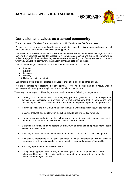

## **Our vision and values as a school community**

The school motto, 'Fidelis et Fortis,' was adopted in 1927 and means 'faithful and brave.'

For over twenty years, we have lived by an underpinning principle – 'We respect and care for each other and value the diversity which exists among people.'

Our **vision** is to provide a curriculum which enables all learners at James Gillespie's High School to achieve their potential. We aim for excellence in learning and teaching and expect all learners to be actively engaged in their own learning. We recognise that learning is a lifelong process and is one to which we, as a school community, make a significant and lasting contribution.

Our school **values**, which demonstrate what is important to us as a school, are:

- 6. Respect
- 7. Equality
- 8. Inclusion
- 9. Honesty
- 10. High expectations/aspirations

Our school is proud of and celebrates the diversity of all of our people and their talents.

We are committed to supporting the development of the whole pupil and as a result, wish to encourage their development in spiritual, moral, social and cultural terms.

These key human aspects of learning are supported through the following arrangements by:-

- Creating a school ethos which, in every way possible, gives value to these aspects of development, especially by providing an overall atmosphere that is both caring and challenging and which provides opportunities for the development of personal responsibility.
- Promoting social and moral learning through the way in which disciplinary issues are handled.
- Ensuring that staff and adults within the school provide positive models for pupils.
- Arranging regular gatherings of the school as a community and using such occasions to encourage and reinforce the values on which the school is based.
- Enriching the curriculum in all appropriate areas with an emphasis on spiritual, moral, social and cultural development.
- Providing opportunities within the curriculum to advance personal and social development.
- Providing a programme of religious education in which consideration will be given to responses to basic questions relating to the meaning, value and purpose of human life.
- Providing a programme of moral education.
- Taking every appropriate opportunity to acknowledge, value and appreciate the various cultures and heritages of the pupils and to encourage them to appreciate and value the cultures and heritages of others.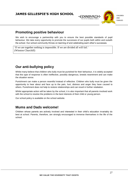

# **Promoting positive behaviour**

We wish to encourage a partnership with you to ensure the best possible standards of pupil behaviour. We take every opportunity to promote the successes of our pupils both within and outwith the school. Our school community thrives on learning of and celebrating each other's successes.

'If we are together nothing is impossible. If we are divided all will fail.' (Winston Churchill)

# **Our anti-bullying policy**

Whilst many believe that children who bully must be punished for their behaviour, it is widely accepted that this type of response is often ineffective, possibly dangerous, breeds resentment and can make the situation worse.

Punishment can make a person resentful instead of reflective. Children who bully must be given the opportunity to hear about and face up to the pain, hurt, distress and anger they have caused to others. Punishment does not help to restore relationships and can result in further retaliation.

Whilst appropriate action will be taken by the school, it is also important that all parents involved work with the school to resolve the problems in the best interests of their child or young person.

Our school policy is available on the school website.

# **Mums and Dads welcome!**

Children whose parents are actively involved and interested in their child's education invariably do best at school. Parents, therefore, are strongly encouraged to immerse themselves in the life of the school.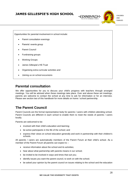

Opportunities for parental involvement in school include:

- Parent consultation evenings
- Parents' events group
- Parent Council
- Fundraising groups
- Working Groups
- James Gillespie's HS Trust
- Organising extra-curricular activities and
- Joining us on school excursions

## **Parental consultation**

We offer opportunities for you to discuss your child's progress with teachers through arranged meetings. You will be advised when these meetings take place. Over and above these set meetings, parents are welcome to contact the school at any time to ask for information or for an interview. Please see section two of this handbook for more details on home / school partnership.

# **The Parent Council**

Parent Councils are the formal representative body for parents / carers with children attending school. Parent Councils are different in each school to enable them to meet the needs of parents / carers locally.

Parents are welcomed to be:

- involved with their child's education and learning;
- be active participants in the life of the school; and
- express their views on school education generally and work in partnership with their children's schools.

All parents / carers are automatically members of the Parent Forum at their child's school. As a member of the Parent Forum all parents can expect to –

- receive information about the school and its activities;
- hear about what partnership with parents means in our school;
- be invited to be involved in ways and times that suit you;
- identify issues you want the parent council, to work on with the school;
- be asked your opinion by the parent council on issues relating to the school and the education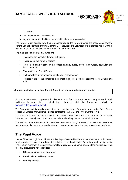

it provides;

- work in partnership with staff; and
- enjoy taking part in the life of the school in whatever way possible.

The Parent Forum decides how their representatives on the Parent Council are chosen and how the Parent Council operates. Parents / carers are encouraged to volunteer or put themselves forward to be chosen as representatives of the Parent Council if they wish.

The main aims of the Parent Council are:

- To support the school in its work with pupils
- To represent the views of parents
- To promote contact between the school, parents, pupils, providers of nursery education and the community
- To report to the Parent Forum
- To be involved in the appointment of senior promoted staff.
- To raise funds for the school for the benefit of pupils (in some schools the PTA/PA fulfils this role).

#### **Contact details for the school Parent Council are shown on the school website.**

For more information on parental involvement or to find out about parents as partners in their children's learning, please contact the school or visit the Parentzone website at [www.parentzonescotland.gov.uk.](http://www.parentzonescotland.gov.uk/)

The Parent Council is mainly responsible for arranging events for parents and raising funds for the school. Volunteers are welcome - please contact the Parent Council if you want to join in.

The Scottish Parent Teacher Council is the national organisation for PTAs and PAs in Scotland, Parent Councils can join too, and it runs an independent helpline service for all parents.

The National Parent Forum of Scotland has been set up to give Parent Councils and parents an opportunity to discuss and raise educational issues of mutual interest or concerns at a national level.

## **The Pupil Voice**

James Gillespie's High School has an active Pupil Voice, led by 10 Sixth Year students, which meets weekly to discuss issues raised and find solutions as well as initiating fundraising and charity events. They in turn meet with a Deputy Head weekly to progress and communicate ideas and issues. Most recently, discussions have included:

- S6 common room and study areas
- Emotional and wellbeing issues
- Learning surveys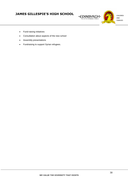

- Fund-raising initiatives
- Consultation about aspects of the new school
- Assembly presentations
- Fundraising to support Syrian refugees.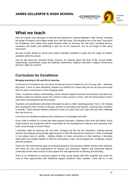CHILDREN AND FAMILIES

EDINBVRGH

# **What we teach**

Here we explain how education is planned and delivered in James Gillespie's High School, including the range of subjects and subject-areas your child will study. We introduce you to the new 'Curriculum for Excellence' and outline how pupils develop skills for learning, life and work, including literacy, numeracy and health and wellbeing in and out of the classroom. Nor do we forget to talk about homework!

We also include details on sports and outdoor activities available to pupils and the range of facilities available within the school.

And we talk about the sensitive things: lessons, for instance about the facts of life, sexual health, relationships, parenthood, drugs and addiction awareness, religious education, religious observance and your rights as a parent.

## **Curriculum for Excellence**

#### **Bringing learning to life and life to learning**

Curriculum for Excellence has now been introduced across Scotland for all 3-18 year olds – wherever they learn. It aims to raise standards, prepare our children for a future they do not yet know and equip them for jobs of tomorrow in a fast changing world.

'Glow,' Scotland's unique, world-leading, online network supports learners and teachers and plans are already in place for parents across the country to have access to Glow. Ask the school about it and a user-name and password will be provided.

Teachers and practitioners will share information to plan a child's 'learning journey' from 3-18, helping their progression from nursery to primary, primary to secondary and beyond, ensuring each transition is smooth. They'll ensure children continue to work at a pace they can cope with and with challenge they can thrive on.

Curriculum for Excellence balances the importance of knowledge and skills.

Every child is entitled to a broad and deep general education, whatever their level and ability. Every single teacher and practitioner will be responsible for the development of literacy and numeracy from Early Level through to Senior Phase.

It develops skills for learning, life and work, bringing real life into the classroom, making learning relevant and helping young people apply lessons to their life beyond the classroom. It links knowledge in one subject area to another - helping children to make connections in their learning. It develops skills which can enable children to think for themselves, make sound judgements, challenge, enquire and find solutions.

There are new and evolving ways of assessing progress and ensuring children achieve their potential. And there are now new qualifications for literacy and numeracy. Highers and Advanced Highers continually evolve take account of and support the new approaches to learning and teaching.

There is an entitlement to personal support to help young people fulfil their potential and make the most of their opportunities with additional support wherever that's needed. There will be a new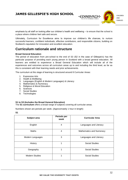EDINBVRGH

emphasis by all staff on looking after our children's health and wellbeing – to ensure that the school is a place where children feel safe and secure.

Ultimately, Curriculum for Excellence aims to improve our children's life chances, to nurture successful learners, confident individuals, effective contributors, and responsible citizens, building on Scotland's reputation for innovation and excellent education.

## **Curriculum rationale and structure**

#### **Broad General Education**

The period of education from pre-school to the end of S3 (S2 in the case of Gillespie's) has the particular purpose of providing each young person in Scotland with a broad general education. All learners are entitled to experience a Broad General Education which will include all of the experiences and outcomes across all curriculum areas up to and including the third level, as far as this is consistent with their learning needs and prior achievements.

The curriculum at this stage of learning is structured around 8 Curricular Areas:

- 1. Expressive Arts
- 2. Health & Wellbeing
- 3. Languages (English & Modern Languages) & Literacy
- 4. Mathematics & Numeracy
- 5. Religious & Moral Education
- 6. Sciences
- 7. Social Studies
- 8. Technologies

#### **S1 to S3 (Includes the Broad General Education)**

The **S1 curriculum** offers a broad range of subjects covering all curricular areas.

Numbers shown are periods per week. (Approximately 1 hour in length)

**S1**

| Subject area          | Periods per<br>week | <b>Curricular Area</b>          |
|-----------------------|---------------------|---------------------------------|
| English               | 4                   | Languages and Literacy          |
| Maths                 | 4                   | <b>Mathematics and Numeracy</b> |
| Modern Languages      | 3                   | Languages and Literacy          |
| History               | 1                   | <b>Social Studies</b>           |
| Geography             | 1                   | Social Studies                  |
| <b>Modern Studies</b> | 1                   | <b>Social Studies</b>           |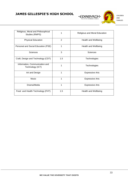

| Religious, Moral and Philosophical<br>Studies (RMPS) | 1   | Religious and Moral Education |
|------------------------------------------------------|-----|-------------------------------|
| <b>Physical Education</b>                            | 2   | Health and Wellbeing          |
| Personal and Social Education (PSE)                  | 1   | Health and Wellbeing          |
| <b>Sciences</b>                                      | 3   | Sciences                      |
| Craft, Design and Technology (CDT)                   | 1.5 | Technologies                  |
| Information, Communication and<br>Technology (ICT)   | 1   | Technologies                  |
| Art and Design                                       | 1   | <b>Expressive Arts</b>        |
| Music                                                | 1   | <b>Expressive Arts</b>        |
| Drama/Media                                          | 1   | <b>Expressive Arts</b>        |
| Food and Health Technology (FHT)                     | 1.5 | Health and Wellbeing          |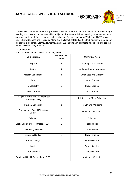**EDINBVRGH** 



Courses are planned around the Experiences and Outcomes and choice is introduced mainly through learning outcomes and sometimes within subject topics. Interdisciplinary learning takes place across subjects and through focus projects such as Museum Project, Health and Wellbeing (HWB) project, Gaelic Film, Sciences and Religious, Moral and Philosophical Studies (RMPS), and in the S1 outdoor residential experience. Literacy, Numeracy, and HWB increasingly permeate all subjects and are the responsibility of every teacher.

#### **S2 Curriculum**

In S2, learners continue with a broad subject base.

| Subject area                                         | Periods per<br>week | <b>Curricular Area</b>        |
|------------------------------------------------------|---------------------|-------------------------------|
| English                                              | 4                   | Languages and Literacy        |
| Maths                                                | 4                   | Mathematics and Numeracy      |
| Modern Languages                                     | 3                   | Languages and Literacy        |
| History                                              | $\mathbf{1}$        | <b>Social Studies</b>         |
| Geography                                            | $\mathbf{1}$        | <b>Social Studies</b>         |
| <b>Modern Studies</b>                                | $\mathbf{1}$        | <b>Social Studies</b>         |
| Religious, Moral and Philosophical<br>Studies (RMPS) | $\mathbf{1}$        | Religious and Moral Education |
| <b>Physical Education</b>                            | $\overline{2}$      | Health and Wellbeing          |
| Personal and Social Education<br>(PSE)               | $\mathbf{1}$        | Health and Wellbeing          |
| <b>Sciences</b>                                      | 3                   | <b>Sciences</b>               |
| Craft, Design and Technology (CDT)                   | $\mathbf{1}$        | Technologies                  |
| <b>Computing Science</b>                             | $\mathbf{1}$        | Technologies                  |
| <b>Business Studies</b>                              | $\mathbf{1}$        | <b>Social Studies</b>         |
| Art and Design                                       | $\mathbf{1}$        | <b>Expressive Arts</b>        |
| Music                                                | $\mathbf{1}$        | <b>Expressive Arts</b>        |
| Drama/Media                                          | $\mathbf{1}$        | <b>Expressive Arts</b>        |
| Food and Health Technology (FHT)                     | $\mathbf{1}$        | Health and Wellbeing          |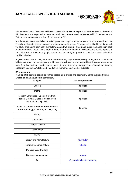EDINBVRGH

It is expected that all learners will have covered the significant aspects of each subject by the end of S2. Teachers are expected to have covered the content-based, subject-specific Experiences and Outcomes in each subject at level 3 by the end of S2.

At this stage, some specialisation takes place and pupils choose subjects to take forward into S3. This allows them to pursue interests and personal preferences. All pupils are entitled to continue with the study of subjects from each curricular area and we strongly encourage pupils to choose from each of the 8 curricular areas. However, in order to cater for the needs of individuals, we do allow pupils to specialise further if everyone (pupil, parents and teachers) is agreed that this is the correct decision for this individual.

English, Maths, PE, RMPS, PSE, and a Modern Language are compulsory throughout S3 and S4 for all learners, unless a learner has specific needs which are best addressed by following an alternative route (e.g. Support for Learning to enhance Literacy, Numeracy and provision of vocational learning opportunities such as 'Skillforce'). In addition, learners select 5 other subjects.

#### **S3 curriculum**

In S3 and S4 learners specialise further according to choice and aspiration. Some subjects (Maths, English and a Language are compulsory).

| <b>Subject</b>                                                                                         | <b>Periods per Week</b>       |
|--------------------------------------------------------------------------------------------------------|-------------------------------|
| English                                                                                                | 3 periods                     |
| Maths                                                                                                  | 3 periods                     |
| Modern Languages (One or more from<br>French, German, Gaelic, Gaidhlig, Urdu,<br>Mandarin and Spanish) | 3 periods                     |
| Sciences (One or more from Environmental<br>Science, Biology, Chemistry and Physics)                   | 3 periods                     |
| History                                                                                                |                               |
| Geography                                                                                              |                               |
| <b>Modern Studies</b>                                                                                  |                               |
| Psychology                                                                                             |                               |
| <b>RMPS</b>                                                                                            |                               |
| Design and Manufacture                                                                                 | <b>Curricular</b>             |
| <b>Graphic Communication</b>                                                                           | <b>Choice</b>                 |
| <b>Practical Woodworking</b>                                                                           |                               |
| <b>Business Management</b>                                                                             | areas                         |
| Art                                                                                                    | (3 periods allocated to each) |
|                                                                                                        |                               |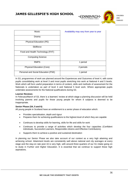

In S3, programmes of work are planned around the Experiences and Outcomes of level 4, with some pupils consolidating work at level 3 and most pupils stretching into work at National 4 and 5 levels. Work which will form useful preparation in terms of content, skills and methods of assessment for the Nationals is undertaken as part of level 4 and National 5 level work. Where appropriate pupils undertake assessments for the National qualifications during S3.

#### **Learner Reviews**

In February/March of S3, there is a learners' review at which stage a planning discussion will be held involving parents and pupils for those young people for whom 8 subjects is deemed to be inappropriate.

#### **Senior Phase (S4, 5 and 6)**

All young people in Scotland have an entitlement to a senior phase of education which:

- Provides specialisation, depth and rigour
- Prepares them for achieving qualifications to the highest level of which they are capable
- Continues to develop skills for learning, skills for life and skills for work
- Continues to provide a range of activities which develop the four capacities (Confident individuals, Successful Learners, Responsible citizens and Effective Contributors).
- Supports them to achieve a positive and sustained destination

In planning our Senior Phase we also take account of our context as a very high attaining and achieving school. Attainment levels are consistently well above national and city averages at every stage and the stay-on rate post 16 is very high, with around three guarters of our S1 intake going on to study in Further and Higher Education. It is essential that we continue to support these high aspirations.

CHILDREN AND FAMILIES

EDINBVRGH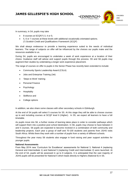

In summary, in S4, pupils may take

- 8 courses at SCQF(\*) 3, 4 or 5;
- 5, 6 or 7 courses at these levels with additional vocationally orientated options. *(\*) Scottish Credit and Qualifications Framework* (*SCQF*)

We shall always endeavour to provide a learning experience suited to the needs of individual learners. The range of subjects on offer will be influenced by the choices our pupils make and the resources available to us.

During S4, pupils are encouraged to undertake a week of work experience at a location of their choice. Guidance staff will advise and support pupils through this process. S5 and S6 pupils may augment their studies by undertaking a longer work experience placement.

The range of courses on offer to pupils in the Senior Phase has recently been extended to include:

- Community Sports Leadership Award (CSLA)
- Jobs and Enterprise Training (Jet)
- 'Steps to Work' training
- Personal Finance
- Psychology
- **Hospitality**
- Skillforce and
- College options

In addition, we also share some classes with other secondary schools in Edinburgh.

At the end of S4 pupils will select 5 courses for S5. At this stage they will be able to choose courses up to and including courses at SCQF level 6 (Higher). In S5, we expect all learners to have a full timetable.

As pupils move into S6, a further review of learning takes place in order to consider pathways which will support them into a positive post school destination. In S6, pupils may choose to have between 3 and 5 courses. S6 pupils are expected to become involved in a combination of both community and leadership projects. Each year a group of staff and 70-100 students and parents from JGHS visits South Africa. Whilst there they work with a number of pupils from a variety of different schools.

Throughout the year many S6 students also engage in fund raising and peer support activities for younger pupils.

#### **National Assessments**

From May 2014 new 'Curriculum for Excellence' assessments for National 3, National 4 (replacing General and Intermediate 1) and National 5 (replacing Credit and Intermediate 2) were launched. At the end of S4, pupils will be assessed in up to 8 subjects. It is anticipated that the vast majority of JGHS pupils will be presented for National 5 which leads directly to Highers (National 6) in S5.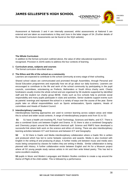CHILDREN AND FAMILIES

DINBVRGH

Assessment at Nationals 3 and 4 are internally assessed, whilst assessments at National 5 are external and are taken as examinations in May and June in the latter stages of S4. (Further details of the revised Curriculum Assessments can be found on the SQA website).

#### **The Whole Curriculum**

In addition to the formal curriculum outlined above, the value of other educational experiences is recognised. Provision in JGHS seeks to address the four contexts of learning.

#### **1 Curriculum areas, subjects and courses**

The formal curriculum described above.

#### **2 The Ethos and life of the school as a community**

Learners are expected to contribute to the school community at every stage of their schooling.

Shared school values are communicated and promoted through Assemblies, through Personal and Social Education programmes and especially how we all go about our daily business. Learners are encouraged to contribute to the life and work of the school community by participating in the pupil councils, committees, volunteering as Prefects, Befrienders or South Africa charity work. Charity fundraisers usually involve the whole school and are organised by S6 students supported by identified staff and the student run charity group BENE. Clubs such as Eco schools help to promote social responsibility and many pupils participate in clubs and activities. Senior students support events such as parents' evenings and represent the school in a variety of ways over the course of the year. Some pupils take on official responsibilities such as Sports ambassadors, Sports captains, Heads of committees and Heads of Student Council.

#### **3 Interdisciplinary Learning**

Interdisciplinary learning approaches are used to connect learning across subject areas and relate this to school and wider social contexts. A range of Interdisciplinary projects exist from S1 to S3.

**S1** S1 have a health unit involving PE, Food Technology, Sciences and Maths, and ICT. There is also a combined Scots unit between English and Drama. In S1 there is also a combined Geography and Chemistry project around the Motherwell chemical spill. Science and RMPS have developed a successful link where both work on the science and ethics of cloning. There are also interdisciplinary learning activities between ICT and Sciences and between ICT and Geography.

**S2** In S2 there is Gaelic and Media interdisciplinary collaboration where a Gaelic film is written and produced which has led to some fantastic outcomes and awards. Media is also involved with English in the writing of and producing of plays. A further media unit between music and media sees music being composed by classes for trailers they are writing in Media. Similar collaboration is being planned with History. A further collaboration exists between English and Art for a Museum project where all S2 young people study various artists in Art and then write linked poetry. This has led to some excellent creativity.

**S3** pupils in Music and Modern Languages and Modern Studies combine to create a rap around the theme of Plight of the child soldier. This is followed by a performance.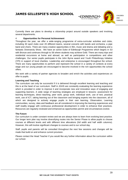CHILDREN AND FAMILIES

DINBVRGH

Currently there are plans to develop a citizenship project around outside speakers and involving several departments.

#### 4 **Opportunities for Personal Achievement**

Throughout the year, we offer a wide-ranging programme of extra-curricular activities and clubs, including 30 sport clubs over 20 different teams, several concerts with bands and orchestra, a pipe band and choirs. There are many creative opportunities in film, music and drama and debating and a fantastic Diversecity Show. We have an active Duke of Edinburgh Programme which begins in S3 with Bronze and continues through to S6 where students may achieve Gold. There are many trips and residential excursions at home and abroad, as well as participation in competitions and other challenges. Our senior pupils participate in the John Byrne award and Youth Philanthropy Initiative (YPI) in support of local charities. Leadership and enterprise is encouraged throughout the school. There are many opportunities to perform and represent the school in a variety of contexts at every stage and our young people are encouraged to become involved in the rich opportunities the school offers.

We work with a variety of partner agencies to broaden and enrich the activities and experiences on offer to pupils.

#### **Learning and Teaching**

The curriculum can only be successful if it is delivered through excellent learning and teaching and this is at the heart of our curriculum. Staff in JGHS are constantly evaluating the learning experience which is provided in order to improve it and incorporate new and innovative ways of engaging and supporting learners. A wide range of teaching strategies are employed in lessons: assessment for learning techniques, direct teaching, peer work, group work, individual work, use of text, practical work, use of ICT, taking learning out of the classroom and bringing experts into the classroom, all of which are designed to actively engage pupils in their own learning. Observation, Learning communities, survey, data and feedback are all considered in improving the learning experiences and staff readily engage with continuous professional development in order to enhance their practices. Resources are regularly reviewed and enhanced as opportunities permit and circumstances evolve.

#### **The Future**

Our curriculum is under constant review and we are always keen to learn from evolving best practice. Our longer term plan nay involve diversifying routes into the Senior Phase to allow pupils to choose courses at different levels and with different time allocations (full width and half width columns). However, this will involve significant changes to courses and to our school day.

Staff, pupils and parents will be consulted throughout the next few sessions and changes will be made that build on and enhance current provision.

Please contact the Head Teacher if you would like any further information about the curriculum within our school.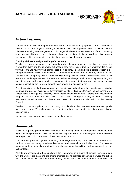

EDINBVRGH

## **Active Learning**

Curriculum for Excellence emphasises the value of an active learning approach. In the early years, children will have a range of learning experiences that include planned and purposeful play and stimulating learning which engages and challenges children's thinking using real life and imaginary situations. As children progress through school they continue to be involved in active learning experiences which are engaging and give them ownership of their own learning.

#### **Planning children's and young People's Learning**

Teachers recognise that young people learn best when they are engaged, enthusiastic and interested in what they learn and this is greatly enhanced if they have choice: Choice in what they learn, how they will learn and how they will demonstrate their learning. To that end pupils decide to learn a skill through a choice of topics; they may choose to research a subject through internet, library materials, interviews etc.; they may present their learning through essays, group presentation, talks, power points and mind map exercises. Students are involved at all stages and subjects in planning long and short term work and projects and are encouraged to evaluate their own and peer work and give regular feedback on their learning through focus groups and questionnaires .

Parents are given regular tracking reports and there is a calendar of parents' nights to share individual progress and parents' evenings at key transition points to discuss information about staying on at school, going to college and university, work experience and volunteering. Parents are consulted on a range of matters throughout the session. This is done through a variety of means, including newsletters, questionnaires, text links to web based documents and discussion at the parents' Council.

Teachers in nursery, primary and secondary schools share their learning intentions with pupils, parents and carers. This takes place on a day-to-day basis, by agreeing the aims of an individual piece of work.

Longer-term planning also takes place in a variety of forms.

## **Homework**

Pupils are regularly given homework to support their learning and to encourage them to become more organised, independent and reflective in their learning. Homework tasks will be given where a teacher feels a particular child or group of children may benefit from it.

The home study will be organised according to the stage and ability of the child, it can arise from all curricular areas, and it may include reading, written, oral, research or practical activities. The tasks set are intended to be interesting, worthwhile and challenging for the child and will focus on skills as well as knowledge.

Parents are encouraged to help pupils with their homework as a means of keeping them up to date with the work of the class and the child's progress and to promote partnership between the school and parents. Homework provides an opportunity to consolidate what has been learned in class, and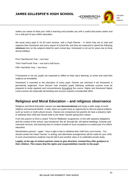EDINBVRGH

makes you aware of what your child is learning and provides you with a useful discussion starter and it's a vital part of your child's education.

We issue every pupil in S1-S3 each session, with a Pupil Planner – in which they are to note and organise their homework and every aspect of school life, and they are expected to spend the following **minimum** time on the subjects listed for each school day. Homework is not set for years one to three during holidays.

First Year/Second Year – one hour Third Year/Fourth Year – one and a half hours Fifth Year/Sixth Year – two hours

If homework is not set, pupils are expected to reflect on their day's learning, to revise and read their subjects as timetabled.

Homework is essential to the education of every pupil. Parents are informed if set homework is persistently neglected. From Second Year onwards pupils following certificate courses must be prepared to study regularly and conscientiously throughout the course. Higher and Advanced Higher Level courses are especially demanding and success requires considerable effort.

## **Religious and Moral Education – and religious observance**

Religious and Moral Education classes are **non-denominational** and study a wide range of world religions and personal beliefs. In later years our pupils have an opportunity to discuss topical subjects such as racism or multi-cultural issues. Classes are compulsory but parents do have a statutory right to withdraw their child and should write to the Head Teacher giving their reason.

From the autumn of 2014 a varied 'Time for Reflection' programme, in line with statutory obligations and the context of the school, was introduced. We all, through life, will attend weddings, funerals and memorial services, and learning how to conduct oneself on such occasions is a useful part of a child's education.

Nevertheless parents – again - have a right in law to withdraw their child from such events. You should contact the Head Teacher, in writing, and alternative arrangements will be made for your child. In such circumstances students may be told to join another class or to undertake private study.

**Legally, at the age of sixteen parents cease to give direction; instead they offer guidance to their children. This means that the rights and responsibilities transfer to the pupil.**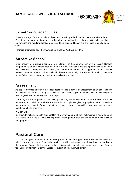EDINBVRGH



## **Extra-Curricular activities**

There is a range of extracurricular activities available for pupils during lunchtime and after school. Parents will be informed about these by the school. In addition to in-school activities, classes also make varied and regular educational visits and field studies. These visits are linked to pupils' class work.

For more information see http://www.jghs.edin.sch.uk/ExtraCurric.html.

## **An 'Active School'**

Child obesity is a growing concern in Scotland. The fundamental aim of the 'Active Schools' programme is to give school-aged children the tools, motivation and the opportunities to be more physically active throughout their school years and into adulthood. These opportunities are available before, during and after school, as well as in the wider community. For further information contact the Active Schools Coordinator by phoning or emailing the school.

#### **Assessment**

As pupils progress through our school, teachers use a range of assessment strategies, including Assessment for Learning strategies as well as setting tests. Pupils are also involved in assessing their own progress and developing their next steps.

We recognise that all pupils do not develop and progress at the same rate and, therefore, we use both group and individual methods to ensure that all pupils are given appropriate instruction and the opportunity to succeed. Please contact the school as soon as possible if you have any concerns about your child's progress.

#### **Pupil Profile**

S3 students will all complete pupil profiles where they capture all their achievements and attainment in all areas from S1 to S3. This will help them to take pride in their achievements and self- evaluate their progress.

# **Pastoral Care**

This section gives information about how pupils' additional support needs will be identified and addressed and the types of specialist services provided within our school. We have two dedicated departments: Support for Learning – to help children with particular educational needs; and Support for Pupils, broadly similar to the 'Guidance' system of old, but much better.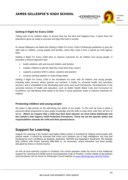CHILDREN AND FAMILIES

EDINBVRGH<sup>.</sup>

#### **Getting It Right for Every Child**

Taking care of our children helps us ensure they live the best and happiest lives. It gives them the potential to grow up ready to succeed and play their part in society.

At James Gillespie's we follow the *Getting It Right For Every Child in Edinburgh* guidelines to give the right help to children, young people and families, when they need it from a joined up multi agency team.

*Getting It Right For Every Child* aims to improve outcomes for all children and young people. It promotes a shared approach that:

- builds solutions with and around children and families
- enables children to get the help they need when they need it
- supports a positive shift in culture, systems and practice
- involves working together to make things better

*Getting It Right For Every Child* is the foundation for work with all children and young people, including adult services where parents are involved. It builds on universal health and education services, and is embedded in the developing early years and youth frameworks. Developments in the universal services of health and education, such as Better Health Better Care and Curriculum for Excellence, are identifying what needs to be done in those particular areas to improve outcomes for children.

#### **Protecting children and young people**

We place a high priority on the well-being and safety of our pupils. To this end we have in place a personal safety programme to give pupils knowledge and life skills to keep them safe from all form of abuse. **Where we suspect that a child may have been abused, we must follow Edinburgh and the Lothian's Inter-Agency Child Protection Procedures. These set out the specific duties and responsibilities towards the child and their parents/carers.**

## **Support for Learning**

Support for Learning is the modern and highly skilled system in Scotland for helping school pupils with special needs. It should be stressed that many such students are of high intelligence, but may feel burdened by such conditions as dyslexia, dyspraxia, AD/HAD and Asperger's Syndrome. We besides help children with known learning difficulties or, as necessary, where education has been greatly disrupted by illness or family trauma

As with all local authority schools in Scotland, this school operates under the terms of the Additional Support for Learning Act (2009) and its accompanying Code of Practice. Further details of the policies and procedures can be found on Edinburgh Council website at [www.edinburgh.gov.uk/InOnTheAct](http://www.edinburgh.gov.uk/InOnTheAct)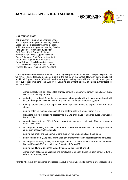

∈DINBVRGH∙

CHILDREN AND FAMILIES

#### **Our trained staff**

Rob Cockcroft – Support for Learning Leader Ann Campbell – Support for Learning Teacher Leesa Fallon – Support for Learning Teacher Robin Andrews – Support for Learning Teacher Jude Balfour – Pupil Support Assistant Sybil Gray - Pupil Support Assistant Amanda Killen - Pupil Support Assistant Eloise Johnston - Pupil Support Assistant Gillian Lee - Pupil Support Assistant Fiona Oatman - Pupil Support Assistant Karen Robinson - Pupil Support Assistant Frances Thomas - Pupil Support Assistant

We all agree children deserve education of the highest quality and, at James Gillespie's High School, we firmly – and effectively include all pupils in the full life of the school. However, some pupils with Additional Support Needs (ASN) will need extra support to help them with the curriculum and get the most out of their time here. The Support for Learning department helps all such pupils, their teachers and parents by

- working closely with our associated primary schools to ensure the smooth transition of pupils with ASN to the High School
- gathering up to date information and strategies about pupils with ASN which are shared with all staff through the "rainbow folders" and the "On The Button" computer system
- running tutorial classes for pupils with more significant needs to support them with their studies
- running catch-up reading classes in S1 and S2 for pupils with weak literacy skills
- organising the Paired Reading programme in S1 to encourage reading for pupils with weaker literacy skills
- co-ordinating the team of Pupil Support Assistants to ensure pupils with ASN are supported effectively in class
- working cooperatively in classes and in consultation with subject teachers to help make the curriculum accessible for all pupils
- running the Break and Lunchtime Club to support vulnerable pupils at these times
- administering the SQA special exam arrangements for those with specific learning difficulties
- working with parents, pupils, external agencies and teachers to write and update Additional Support Plans (ASPs) and Individual Educational Plans (IEP)
- running the "Nurture Group" to support vulnerable pupils in S1 and S2
- working with colleges, universities and employers to support transition from school to further education or employment.

Parents who have any concerns or questions about a vulnerable child's learning are encouraged to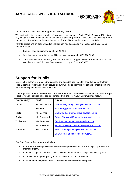

contact Mr Rob Cockcroft, the Support for Learning Leader.

We work with other agencies and professionals – for example, Social Work Services, Educational Psychology Service, National Health Service and you the parent to make decisions with regards to the best possible education to meet the needs of your child within the resources available.

Parents, carers and children with additional support needs can also find independent advice and support through:

- Enquire: www.enquire.org.uk, 0845 123 2303
- Scottish Independent Advocacy Alliance, www.siaa.org.uk, 0131 260 5380
- Take Note: National Advocacy Service for Additional Support Needs (Barnados in association with the Scottish Child Law Centre) www.sclc.org.uk, 0131 667 6633.

## **Support for Pupils**

Once, rather patronisingly, called 'Guidance,' and decades ago too often provided by staff without special training, Pupil Support now serves all our students and is there for counsel, encouragement, advice and help in any aspect of their lives.

The Pupil Support structure consists of our five Key Adult Communities – and the Support for Pupils Teacher for your son/daughter can be identified from their Key Adult Community as follows:

| <b>Community</b> | <b>Staff</b>   | E-mail                                         |
|------------------|----------------|------------------------------------------------|
| Lauder           | Ms. McQuade &  | Leanne.McQuade@jamesgillespies.edin.sch.uk     |
|                  | Ms. Kerr       | Elisa.Kerr@jamesgillespies.edin.sch.uk         |
| Roslin           | Mr. McPhail    | Bryan.McPhail@jamesgillespies.edin.sch.uk      |
| Spylaw           | Mr. Shankland  | Robert.Shankland@jamesgillespies.edin.sch.uk   |
| Thirlestane      | Ms. Pearce &   | Cait.Pearce@jamesgillespies.edin.sch.uk        |
|                  | Mr. Sievwright | Richard.Sievwright@jamesgillespies.edin.sch.uk |
| Warrender        | Ms. Graham     | Nikki.Graham@jamesgillespies.edin.sch.uk.      |
|                  |                | Lisa.Wood@jamesgillespies.edin.sch.uk          |

Our Pupil Support Department works hard

- to ensure that each pupil knows and is known personally and in some depth by a least one member of staff.
- to help the pupil be aware of his/her own development and to accept responsibility for it.
- to identify and respond quickly to the specific needs of the individual.
- to foster the development of good relations between teachers and pupils.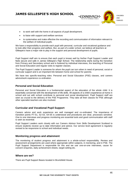

- to work well with the home in all aspects of pupil development.
- to liaise with support and welfare services
- to systematise and make effective the recording and communication of information relevant to the welfare of individual pupils.

We have a responsibility to provide each pupil with personal, curricular and vocational guidance and to look after their progress and welfare. But, as part of a wider school, we believe all teachers at Gillespie's have a major role to play in the support and personal development of pupils.

Pupil Support staff aim to ensure that each pupil is known well by his/her Pupil Support Leader and feels secure and safe in James Gillespie's High School. The relationship starts during the transition from Primary and Secondary school and is fostered by individual interviews, the teaching of Personal and Social Education and regular visits to register classes.

The Pupil Support Leader is someone for whom the pupil can turn when in need of personal, social or curricular support and is an important link between home and school for parents.

We have two specific-teaching roles: Personal and Social Education (PSE) classes, and careers advice/work experience co-ordination.

#### **Personal and Social Education**

Personal and Social Education is a fundamental aspect of the education of the whole child. It is essentially concerned with the development of life skills. All aspects of a child's experience at home in school and out with school contribute to personal and social development. Pupil Support staff are seen as crucial to the delivery of the PSE Programme. They take all their classes for PSE although other specialist teachers are also involved.

#### **Curricular and Vocational Pupil Support**

Careers advice and work experience are well managed and co-ordinated. The importance of transition points P7-S1, S2-S3, S4-S5 is understood and procedures are clear, processes sensitive. One to one interviews and progress monitoring are essential tools and good communication with staff is seen as essential.

Pupil Support Leaders work closely with our Careers Advisor from Skills Development Scotland to ensure students receive up to date information and advice. Our service level agreement is regularly revised to be responsive to school and individual needs.

#### **Monitoring progress and attainment**

The monitoring of student progress and attainment is a whole-school responsibility. Review and assessment arrangements are used where appropriate within subjects, in mentoring, and in PSE. The Pupil Support Department is responsible for this and we use one-on-one interviews, cause for concern enquiries, daily achievement sheets, target-setting etc.

#### **Where are we?**

There are Pupil Support Bases located in Bruntsfield House.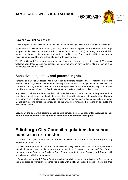

#### **How can you get hold of us?**

There are post boxes available for your child to leave a message if staff are teaching or in meetings.

If you have a particular worry about your child, please make an appointment to see his or her Pupil Support Leader. We can be contacted by telephone (0131 447 1900) or through the e-mail links above. You should receive a response within three working days. Some queries will take longer to be investigated/resolved but you will be told quickly if this is the case.

The Pupil Support Department strives for excellence in our work across the school. We would welcome your thoughts and suggestions for improvements on any matter relating to our policies, procedures and general roles.

## **Sensitive subjects… and parents' rights**

Personal and Social Education will include age-appropriate classes on, for instance, drugs and alcohol awareness, sex education and relationships. Most parents are happy to let their child take part in the school's programmes. However, in some exceptional circumstances a parent may take the view that this is an aspect of their child's education that they prefer to deal with only at home.

Any parent considering withdrawing their child must first contact the school. Both the parent and the school must take into account the child's views given the child's statutory right to education. The right to withdraw a child applies only to specific programmes of sex education. It is not possible to withdraw a child from lessons across the curriculum, as this would prevent a child receiving an adequate and efficient education.

**Legally, at the age of 16 parents cease to give direction; instead they offer guidance to their children. This means that the rights and responsibilities transfer to the pupil.** 

# **Edinburgh City Council regulations for school admission or transfer**

This section also gives information about transition. There are also details about making a placing request to another school.

The extended Pupil Support Team at James Gillespie's High School start work almost a year before your child starts at high school to ensure a smooth transition. This team comprises staff from Support for Learning and Support for Pupils, a Pupil Support Assistant and a Depute Head Teacher with overall responsibility for the process.

In September we hold a P7 Open Event to which all pupils in catchment are invited. In December we begin to organise transition meetings for pupils with additional support needs. Pupils are then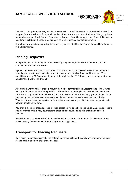CHILDREN AND FAMILIES

EDINBVRGH

identified by our primary colleagues who may benefit from additional support offered by the Transition Support Group, which runs for a small number of pupils in the last term of primary. This group is run by members of our Pupil Support Team and colleagues from Canongate Youth Project. During the next term Pupil Support Leaders visit primary schools to discuss pastoral information.

If you have any questions regarding the process please contact Mr. Ian Porter, Depute Head Teacher, in the first instance.

## **Placing Requests**

As a parent, you have the right to make a Placing Request for your child(ren) to be educated in a school other than the local school.

If you would prefer that your child start P1 or S1 at another school instead of one of the catchment schools, you have to make a placing request. You can apply on line from mid November. This should be done by 24 December. If you apply for a place after 28 February there is no guarantee that a catchment place will be available.

All parents have the right to make a request for a place for their child in another school. The Council must grant these requests where possible. When there are more places available in a school than there are placing requests for that school, and then all the requests are usually granted. If the school you specify has more requests than available places, then each case is examined individually. Whatever you write on your application form is taken into account, so it is important that you include relevant details on the form.

You should also note that a successful Placing Request for one child does not guarantee a successful one for another child. It may be, therefore, that a parent could end up with children at different schools.

All children must also be enrolled at the catchment area school on the appropriate Enrolment Form whilst awaiting the outcome of their Placing Request Application*.* 

## **Transport for Placing Requests**

If a Placing Request is successful, parents will be responsible for the safety and transportation costs of their child to and from their chosen school.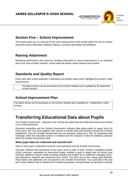

## **Section Five – School Improvement**

The section gives you an overview of the main achievements of the school within the last 12 months and performance information relating to literacy, numeracy and health and wellbeing.

## **Raising Attainment**

Monitoring performance and using the resulting information to secure improvement is an important part of the work of Head Teachers, school staff and officers within Children and Families.

## **Standards and Quality Report**

Every year each school publishes a Standards and Quality report which highlights the school's major achievements.

The latest version can be accessed on the school's website and is updated by 30 September in each session.

## **School Improvement Plan**

The latest version can be accessed on the school's website and is updated by 1 September in each session.

# **Transferring Educational Data about Pupils**

The Scottish Government – Education and Training has asked that the undernoted advice be included in our school brochures.

Education authorities and the Scottish Government collected data about pupils on paper forms for many years. We now work together with schools to transfer data electronically through the ScotXed programme. Thus the Scottish Government has two functions: acting as a 'hub' for supporting data exchange within the education system in Scotland and the analysis of data for statistical purposes within the Scottish Government itself.

#### **What pupil data are collected and transferred?**

Data on each pupil is collected by schools, local authorities and the Scottish Government.

The data collected and transferred covers areas such as date of birth, Scottish Candidate Number (SCN), postcode, registration for free-school meals, whether a pupil is looked after by his/her local authority, additional support needs including disability and English as an Additional Language (EAL), and attendance, absence and exclusions from school. The SCN acts as the unique pupil identifier. Pupil names and addresses are not passed to the Scottish Government. Your postcode is the only part of your address that is transferred for statistical purposes, and postcodes are grouped to identify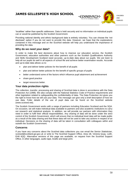EDINBVRGH

'localities' rather than specific addresses. Data is held securely and no information on individual pupils can or would be published by the Scottish Government.

Providing national identity and ethnic background data is entirely voluntary. You can choose the 'not disclosed' option if you do not want to provide this data. However, we hope that the explanations contained in this message and on the ScotXed website will help you understand the importance of providing the data.

#### **Why do we need your data?**

In order to make the best decisions about how to improve our education service, the Scottish Government, education authorities and other partners such as the Scottish Qualifications Authority and Skills Development Scotland need accurate, up-to-date data about our pupils. We are keen to help all our pupils do well in all aspects of school life and achieve better examination results. Accurate and up-to-date data allows us to:

- plan and deliver better policies for the benefit of all pupils
- plan and deliver better policies for the benefit of specific groups of pupils
- better understand some of the factors which influence pupil attainment and achievement
- share good practice
- target resources better.

#### **Your data protection rights**

The collection, transfer, processing and sharing of ScotXed data is done in accordance with the Data Protection Act (1998). We also comply with the National Statistics Code of Practice requirements and other legislation related to safeguarding the confidentiality of data. The Data Protection Act gives you the right to know how we will use your data. This message can give only a brief description of how we use data. Fuller details of the use of pupil data can be found on the ScotXed website (www.scotxed.net).

The Scottish Government works with a range of partners including Education Scotland and the SQA. On occasion, we will make individual data available to partners and also academic institutions to carry out research and statistical analysis. In addition, we will provide our partners with information they need in order to fulfil their official responsibilities. Any sharing of data will be done under the strict control of the Scottish Government, which will ensure that no individual level data will be made public as a result of the data sharing and that these data will not be used to take any actions in respect of an individual. Decisions on the sharing of data will be taken in consultation with colleagues within and outwith the Scottish Government.

#### **Concerns**

If you have any concerns about the ScotXed data collections you can email the Senior Statistician, scotxed@scotland.gsi.gov.uk or write to The ScotXed Support Office, Area 1B, Victoria Quay, Leith, EH6 6QQ. Alternative versions of this page are available, on request from the ScotXed Support Office, in other languages, audio tape, braille and large print.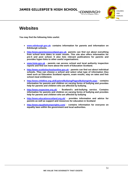

# **Websites**

**You may find the following links useful.**

- **[www.edinburgh.gov.uk-](http://www.edinburgh.gov.uk/) contains information for parents and information on Edinburgh schools.**
- **[http://www.parentzonescotland.gov.uk-](http://www.parentzonescotland.gov.uk/) parents can find out about everything from school term dates to exam results. This site also offers information for pre-5 and post school. It also lists relevant publications for parents and provides hyper-links to other useful organisations.**
- **[www.hmie.gov.uk](http://www.hmie.gov.uk/) - parents can access school and local authority inspection reports and find out more about the work of Education Scotland.**
- **[http://www.scottishschoolsonline.gov.uk](http://www.scottishschoolsonline.gov.uk/) - parents can find out about individual schools. They can choose a school and select what type of information they need such as Education Scotland reports, exam results, stay on rates and free school meal entitlement.**
- **<http://www.childline.org.uk/Explore/Bullying/Pages/Bullyinginfo.aspx> - contains information for parents and children on varying forms of bullying and provides help for parents and children who are affected by bullying.**
- **<http://www.respectme.org.uk/> - Scotland's anti-bullying service. Contains information for parents and children on varying forms of bullying and provides help for parents and children who are affected by bullying**
- **<http://www.educationscotland.org.uk/> - provides information and advice for parents as well as support and resources for education in Scotland**
- **<http://www.equalityhumanrights.com/> - contains information for everyone on equality laws within the government and local authorities.**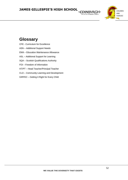

GH۰

# **Glossary**

- CFE Curriculum for Excellence
- ASN Additional Support Needs
- EMA Education Maintenance Allowance
- ASL Additional Support for Learning
- SQA Scottish Qualifications Authority
- FOI Freedom of Information
- HT/PT Head Teacher/Principal Teacher
- CLD Community Learning and Development
- GIRFEC Getting it Right for Every Child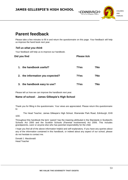

# **Parent feedback**

Please take a few minutes to fill in and return the questionnaire on this page. Your feedback will help us improve the hand book next year.

#### *Tell us what you think*

Your feedback will help us to improve our handbook.

| Did you find                     | <b>Please tick</b> |     |
|----------------------------------|--------------------|-----|
| the handbook useful?<br>1.       | ?Yes               | ?No |
| 2. the information you expected? | ?Yes               | ?No |
| 3. the handbook easy to use?     | ?Yes               | ?No |

Please tell us how we can improve the handbook next year.

#### **Name of school: James Gillespie's High School**

Thank you for filling in the questionnaire. Your views are appreciated. Please return this questionnaire to:

The Head Teacher, James Gillespie's High School, Warrender Park Road, Edinburgh, EH9 1DD.

Throughout this handbook the term 'parent' has the meaning attributed in the Standards in Scotland's Schools Act 2000 and the Scottish Schools (Parental Involvement) Act 2006. This includes grandparents, carer or anyone else who has parental responsibility for the child.

I hope you find all of the above information helpful and self-explanatory. If you have any queries about any of the information contained in this handbook, or indeed about any aspect of our school, please do not hesitate to contact me.

Donald J. Macdonald Head Teacher